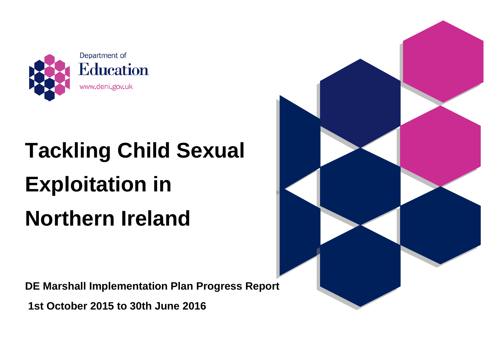

## **Tackling Child Sexual Exploitation in Northern Ireland**

**DE Marshall Implementation Plan Progress Report** 

**1st October 2015 to 30th June 2016** 

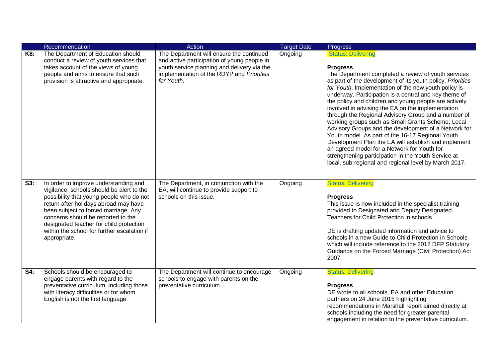|     | Recommendation                                                                                                                                                                                                                                                                                                                                                  | Action                                                                                                                                                                                            | <b>Target Date</b> | <b>Progress</b>                                                                                                                                                                                                                                                                                                                                                                                                                                                                                                                                                                                                                                                                                                                                                                                                                                 |
|-----|-----------------------------------------------------------------------------------------------------------------------------------------------------------------------------------------------------------------------------------------------------------------------------------------------------------------------------------------------------------------|---------------------------------------------------------------------------------------------------------------------------------------------------------------------------------------------------|--------------------|-------------------------------------------------------------------------------------------------------------------------------------------------------------------------------------------------------------------------------------------------------------------------------------------------------------------------------------------------------------------------------------------------------------------------------------------------------------------------------------------------------------------------------------------------------------------------------------------------------------------------------------------------------------------------------------------------------------------------------------------------------------------------------------------------------------------------------------------------|
| K8: | The Department of Education should<br>conduct a review of youth services that<br>takes account of the views of young<br>people and aims to ensure that such<br>provision is attractive and appropriate.                                                                                                                                                         | The Department will ensure the continued<br>and active participation of young people in<br>youth service planning and delivery via the<br>implementation of the RDYP and Priorities<br>for Youth. | Ongoing            | <b>Status: Delivering</b><br><b>Progress</b><br>The Department completed a review of youth services<br>as part of the development of its youth policy, Priorities<br>for Youth. Implementation of the new youth policy is<br>underway. Participation is a central and key theme of<br>the policy and children and young people are actively<br>involved in advising the EA on the implementation<br>through the Regional Advisory Group and a number of<br>working groups such as Small Grants Scheme, Local<br>Advisory Groups and the development of a Network for<br>Youth model. As part of the 16-17 Regional Youth<br>Development Plan the EA will establish and implement<br>an agreed model for a Network for Youth for<br>strengthening participation in the Youth Service at<br>local, sub-regional and regional level by March 2017. |
| S3: | In order to improve understanding and<br>vigilance, schools should be alert to the<br>possibility that young people who do not<br>return after holidays abroad may have<br>been subject to forced marriage. Any<br>concerns should be reported to the<br>designated teacher for child protection<br>within the school for further escalation if<br>appropriate. | The Department, in conjunction with the<br>EA, will continue to provide support to<br>schools on this issue.                                                                                      | Ongoing            | <b>Status: Delivering</b><br><b>Progress</b><br>This issue is now included in the specialist training<br>provided to Designated and Deputy Designated<br>Teachers for Child Protection in schools.<br>DE is drafting updated information and advice to<br>schools in a new Guide to Child Protection in Schools<br>which will include reference to the 2012 DFP Statutory<br>Guidance on the Forced Marriage (Civil Protection) Act<br>2007.                                                                                                                                                                                                                                                                                                                                                                                                    |
| S4: | Schools should be encouraged to<br>engage parents with regard to the<br>preventative curriculum, including those<br>with literacy difficulties or for whom<br>English is not the first language                                                                                                                                                                 | The Department will continue to encourage<br>schools to engage with parents on the<br>preventative curriculum.                                                                                    | Ongoing            | <b>Status: Delivering</b><br><b>Progress</b><br>DE wrote to all schools, EA and other Education<br>partners on 24 June 2015 highlighting<br>recommendations in Marshall report aimed directly at<br>schools including the need for greater parental<br>engagement in relation to the preventative curriculum.                                                                                                                                                                                                                                                                                                                                                                                                                                                                                                                                   |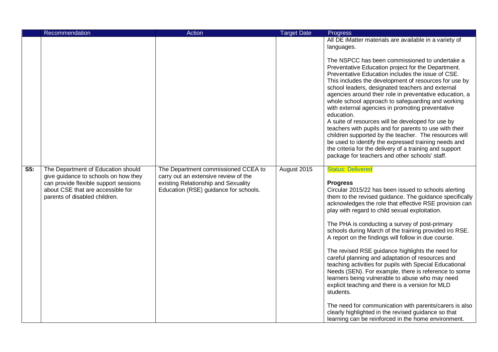|                           | Recommendation                                                                                                                                                                            | Action                                                                                                                                                      | <b>Target Date</b> | <b>Progress</b>                                                                                                                                                                                                                                                                                                                                                                                                                                                                                                                                                                                                                                                                                                                                                                                                                                                                                                                                                      |
|---------------------------|-------------------------------------------------------------------------------------------------------------------------------------------------------------------------------------------|-------------------------------------------------------------------------------------------------------------------------------------------------------------|--------------------|----------------------------------------------------------------------------------------------------------------------------------------------------------------------------------------------------------------------------------------------------------------------------------------------------------------------------------------------------------------------------------------------------------------------------------------------------------------------------------------------------------------------------------------------------------------------------------------------------------------------------------------------------------------------------------------------------------------------------------------------------------------------------------------------------------------------------------------------------------------------------------------------------------------------------------------------------------------------|
|                           |                                                                                                                                                                                           |                                                                                                                                                             |                    | All DE iMatter materials are available in a variety of<br>languages.                                                                                                                                                                                                                                                                                                                                                                                                                                                                                                                                                                                                                                                                                                                                                                                                                                                                                                 |
|                           |                                                                                                                                                                                           |                                                                                                                                                             |                    | The NSPCC has been commissioned to undertake a<br>Preventative Education project for the Department.<br>Preventative Education includes the issue of CSE.<br>This includes the development of resources for use by<br>school leaders, designated teachers and external<br>agencies around their role in preventative education, a<br>whole school approach to safeguarding and working<br>with external agencies in promoting preventative<br>education.<br>A suite of resources will be developed for use by<br>teachers with pupils and for parents to use with their<br>children supported by the teacher. The resources will<br>be used to identify the expressed training needs and<br>the criteria for the delivery of a training and support<br>package for teachers and other schools' staff.                                                                                                                                                                |
| $\overline{\mathsf{S5:}}$ | The Department of Education should<br>give guidance to schools on how they<br>can provide flexible support sessions<br>about CSE that are accessible for<br>parents of disabled children. | The Department commissioned CCEA to<br>carry out an extensive review of the<br>existing Relationship and Sexuality<br>Education (RSE) guidance for schools. | August 2015        | <b>Status: Delivered</b><br><b>Progress</b><br>Circular 2015/22 has been issued to schools alerting<br>them to the revised guidance. The guidance specifically<br>acknowledges the role that effective RSE provision can<br>play with regard to child sexual exploitation.<br>The PHA is conducting a survey of post-primary<br>schools during March of the training provided iro RSE.<br>A report on the findings will follow in due course.<br>The revised RSE guidance highlights the need for<br>careful planning and adaptation of resources and<br>teaching activities for pupils with Special Educational<br>Needs (SEN). For example, there is reference to some<br>learners being vulnerable to abuse who may need<br>explicit teaching and there is a version for MLD<br>students.<br>The need for communication with parents/carers is also<br>clearly highlighted in the revised guidance so that<br>learning can be reinforced in the home environment. |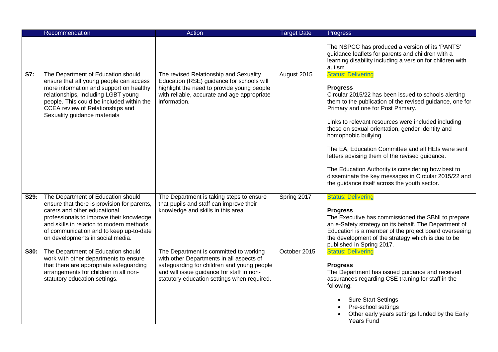|      | Recommendation                                                                                                                                                                                                                                                                           | <b>Action</b>                                                                                                                                                                                                                | <b>Target Date</b> | Progress                                                                                                                                                                                                                                                                                                                                                                                                                                                                                                                                                                                                       |
|------|------------------------------------------------------------------------------------------------------------------------------------------------------------------------------------------------------------------------------------------------------------------------------------------|------------------------------------------------------------------------------------------------------------------------------------------------------------------------------------------------------------------------------|--------------------|----------------------------------------------------------------------------------------------------------------------------------------------------------------------------------------------------------------------------------------------------------------------------------------------------------------------------------------------------------------------------------------------------------------------------------------------------------------------------------------------------------------------------------------------------------------------------------------------------------------|
|      |                                                                                                                                                                                                                                                                                          |                                                                                                                                                                                                                              |                    | The NSPCC has produced a version of its 'PANTS'<br>guidance leaflets for parents and children with a<br>learning disability including a version for children with<br>autism.                                                                                                                                                                                                                                                                                                                                                                                                                                   |
| S7:  | The Department of Education should<br>ensure that all young people can access<br>more information and support on healthy<br>relationships, including LGBT young<br>people. This could be included within the<br>CCEA review of Relationships and<br>Sexuality guidance materials         | The revised Relationship and Sexuality<br>Education (RSE) guidance for schools will<br>highlight the need to provide young people<br>with reliable, accurate and age appropriate<br>information.                             | August 2015        | <b>Status: Delivering</b><br><b>Progress</b><br>Circular 2015/22 has been issued to schools alerting<br>them to the publication of the revised guidance, one for<br>Primary and one for Post Primary.<br>Links to relevant resources were included including<br>those on sexual orientation, gender identity and<br>homophobic bullying.<br>The EA, Education Committee and all HEIs were sent<br>letters advising them of the revised guidance.<br>The Education Authority is considering how best to<br>disseminate the key messages in Circular 2015/22 and<br>the guidance itself across the youth sector. |
| S29: | The Department of Education should<br>ensure that there is provision for parents,<br>carers and other educational<br>professionals to improve their knowledge<br>and skills in relation to modern methods<br>of communication and to keep up-to-date<br>on developments in social media. | The Department is taking steps to ensure<br>that pupils and staff can improve their<br>knowledge and skills in this area.                                                                                                    | Spring 2017        | <b>Status: Delivering</b><br><b>Progress</b><br>The Executive has commissioned the SBNI to prepare<br>an e-Safety strategy on its behalf. The Department of<br>Education is a member of the project board overseeing<br>the development of the strategy which is due to be<br>published in Spring 2017.                                                                                                                                                                                                                                                                                                        |
| S30: | The Department of Education should<br>work with other departments to ensure<br>that there are appropriate safeguarding<br>arrangements for children in all non-<br>statutory education settings.                                                                                         | The Department is committed to working<br>with other Departments in all aspects of<br>safeguarding for children and young people<br>and will issue guidance for staff in non-<br>statutory education settings when required. | October 2015       | <b>Status: Delivering</b><br><b>Progress</b><br>The Department has issued guidance and received<br>assurances regarding CSE training for staff in the<br>following:<br><b>Sure Start Settings</b><br>Pre-school settings<br>Other early years settings funded by the Early<br>Years Fund                                                                                                                                                                                                                                                                                                                       |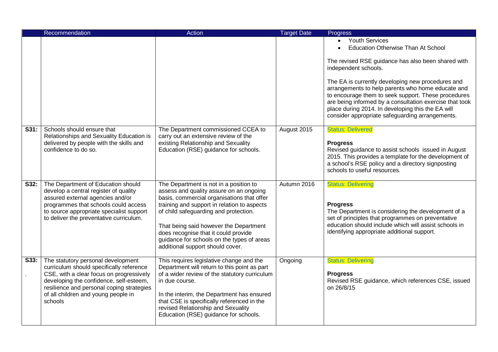|      | Recommendation                                                                                                                                                                                                                                                       | Action                                                                                                                                                                                                                                                                                                                                                                                      | <b>Target Date</b> | Progress                                                                                                                                                                                                                                                                                                                                                                                                                                                                      |
|------|----------------------------------------------------------------------------------------------------------------------------------------------------------------------------------------------------------------------------------------------------------------------|---------------------------------------------------------------------------------------------------------------------------------------------------------------------------------------------------------------------------------------------------------------------------------------------------------------------------------------------------------------------------------------------|--------------------|-------------------------------------------------------------------------------------------------------------------------------------------------------------------------------------------------------------------------------------------------------------------------------------------------------------------------------------------------------------------------------------------------------------------------------------------------------------------------------|
|      |                                                                                                                                                                                                                                                                      |                                                                                                                                                                                                                                                                                                                                                                                             |                    | Youth Services<br><b>Education Otherwise Than At School</b><br>The revised RSE guidance has also been shared with<br>independent schools.<br>The EA is currently developing new procedures and<br>arrangements to help parents who home educate and<br>to encourage them to seek support. These procedures<br>are being informed by a consultation exercise that took<br>place during 2014. In developing this the EA will<br>consider appropriate safeguarding arrangements. |
| S31: | Schools should ensure that<br>Relationships and Sexuality Education is<br>delivered by people with the skills and<br>confidence to do so.                                                                                                                            | The Department commissioned CCEA to<br>carry out an extensive review of the<br>existing Relationship and Sexuality<br>Education (RSE) guidance for schools.                                                                                                                                                                                                                                 | August 2015        | <b>Status: Delivered</b><br><b>Progress</b><br>Revised guidance to assist schools issued in August<br>2015. This provides a template for the development of<br>a school's RSE policy and a directory signposting<br>schools to useful resources.                                                                                                                                                                                                                              |
| S32: | The Department of Education should<br>develop a central register of quality<br>assured external agencies and/or<br>programmes that schools could access<br>to source appropriate specialist support<br>to deliver the preventative curriculum.                       | The Department is not in a position to<br>assess and quality assure on an ongoing<br>basis, commercial organisations that offer<br>training and support in relation to aspects<br>of child safeguarding and protection.<br>That being said however the Department<br>does recognise that it could provide<br>guidance for schools on the types of areas<br>additional support should cover. | Autumn 2016        | <b>Status: Delivering</b><br><b>Progress</b><br>The Department is considering the development of a<br>set of principles that programmes on preventative<br>education should include which will assist schools in<br>identifying appropriate additional support.                                                                                                                                                                                                               |
| S33: | The statutory personal development<br>curriculum should specifically reference<br>CSE, with a clear focus on progressively<br>developing the confidence, self-esteem,<br>resilience and personal coping strategies<br>of all children and young people in<br>schools | This requires legislative change and the<br>Department will return to this point as part<br>of a wider review of the statutory curriculum<br>in due course.<br>In the interim, the Department has ensured<br>that CSE is specifically referenced in the<br>revised Relationship and Sexuality<br>Education (RSE) guidance for schools.                                                      | Ongoing            | <b>Status: Delivering</b><br><b>Progress</b><br>Revised RSE guidance, which references CSE, issued<br>on 26/8/15                                                                                                                                                                                                                                                                                                                                                              |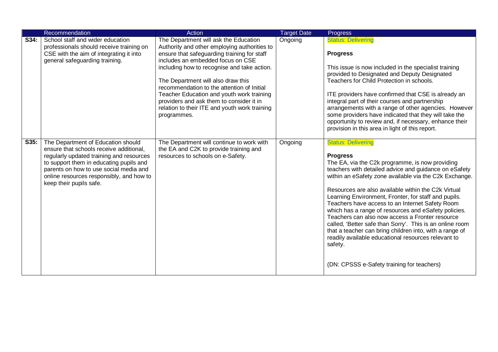|      | Recommendation                                                                                                                                                                                                                                                                        | Action                                                                                                                                                                                                                                                                                                                                                                                                                                                                | <b>Target Date</b> | <b>Progress</b>                                                                                                                                                                                                                                                                                                                                                                                                                                                                                                                                                                                                                                                                                                                        |
|------|---------------------------------------------------------------------------------------------------------------------------------------------------------------------------------------------------------------------------------------------------------------------------------------|-----------------------------------------------------------------------------------------------------------------------------------------------------------------------------------------------------------------------------------------------------------------------------------------------------------------------------------------------------------------------------------------------------------------------------------------------------------------------|--------------------|----------------------------------------------------------------------------------------------------------------------------------------------------------------------------------------------------------------------------------------------------------------------------------------------------------------------------------------------------------------------------------------------------------------------------------------------------------------------------------------------------------------------------------------------------------------------------------------------------------------------------------------------------------------------------------------------------------------------------------------|
| S34: | School staff and wider education<br>professionals should receive training on<br>CSE with the aim of integrating it into<br>general safeguarding training.                                                                                                                             | The Department will ask the Education<br>Authority and other employing authorities to<br>ensure that safeguarding training for staff<br>includes an embedded focus on CSE<br>including how to recognise and take action.<br>The Department will also draw this<br>recommendation to the attention of Initial<br>Teacher Education and youth work training<br>providers and ask them to consider it in<br>relation to their ITE and youth work training<br>programmes. | Ongoing            | <b>Status: Delivering</b><br><b>Progress</b><br>This issue is now included in the specialist training<br>provided to Designated and Deputy Designated<br>Teachers for Child Protection in schools.<br>ITE providers have confirmed that CSE is already an<br>integral part of their courses and partnership<br>arrangements with a range of other agencies. However<br>some providers have indicated that they will take the<br>opportunity to review and, if necessary, enhance their<br>provision in this area in light of this report.                                                                                                                                                                                              |
| S35: | The Department of Education should<br>ensure that schools receive additional,<br>regularly updated training and resources<br>to support them in educating pupils and<br>parents on how to use social media and<br>online resources responsibly, and how to<br>keep their pupils safe. | The Department will continue to work with<br>the EA and C2K to provide training and<br>resources to schools on e-Safety.                                                                                                                                                                                                                                                                                                                                              | Ongoing            | <b>Status: Delivering</b><br><b>Progress</b><br>The EA, via the C2k programme, is now providing<br>teachers with detailed advice and guidance on eSafety<br>within an eSafety zone available via the C2k Exchange.<br>Resources are also available within the C2k Virtual<br>Learning Environment, Fronter, for staff and pupils.<br>Teachers have access to an Internet Safety Room<br>which has a range of resources and eSafety policies.<br>Teachers can also now access a Fronter resource<br>called, 'Better safe than Sorry'. This is an online room<br>that a teacher can bring children into, with a range of<br>readily available educational resources relevant to<br>safety.<br>(DN: CPSSS e-Safety training for teachers) |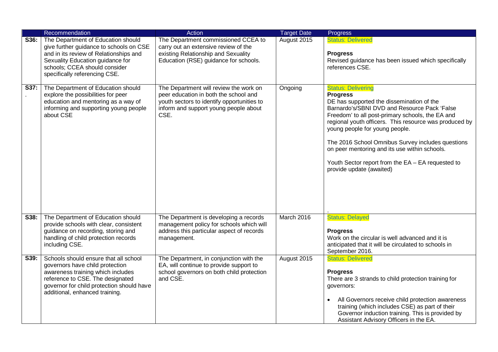|      | Recommendation                                                                                                                                                                                                                   | Action                                                                                                                                                                         | <b>Target Date</b> | Progress                                                                                                                                                                                                                                                                                                                                                                                                                                                                         |
|------|----------------------------------------------------------------------------------------------------------------------------------------------------------------------------------------------------------------------------------|--------------------------------------------------------------------------------------------------------------------------------------------------------------------------------|--------------------|----------------------------------------------------------------------------------------------------------------------------------------------------------------------------------------------------------------------------------------------------------------------------------------------------------------------------------------------------------------------------------------------------------------------------------------------------------------------------------|
| S36: | The Department of Education should<br>give further guidance to schools on CSE<br>and in its review of Relationships and<br>Sexuality Education guidance for<br>schools; CCEA should consider<br>specifically referencing CSE.    | The Department commissioned CCEA to<br>carry out an extensive review of the<br>existing Relationship and Sexuality<br>Education (RSE) guidance for schools.                    | August 2015        | <b>Status: Delivered</b><br><b>Progress</b><br>Revised guidance has been issued which specifically<br>references CSE.                                                                                                                                                                                                                                                                                                                                                            |
| S37: | The Department of Education should<br>explore the possibilities for peer<br>education and mentoring as a way of<br>informing and supporting young people<br>about CSE                                                            | The Department will review the work on<br>peer education in both the school and<br>youth sectors to identify opportunities to<br>inform and support young people about<br>CSE. | Ongoing            | <b>Status: Delivering</b><br><b>Progress</b><br>DE has supported the dissemination of the<br>Barnardo's/SBNI DVD and Resource Pack 'False<br>Freedom' to all post-primary schools, the EA and<br>regional youth officers. This resource was produced by<br>young people for young people.<br>The 2016 School Omnibus Survey includes questions<br>on peer mentoring and its use within schools.<br>Youth Sector report from the EA - EA requested to<br>provide update (awaited) |
| S38: | The Department of Education should<br>provide schools with clear, consistent<br>guidance on recording, storing and<br>handling of child protection records<br>including CSE.                                                     | The Department is developing a records<br>management policy for schools which will<br>address this particular aspect of records<br>management.                                 | March 2016         | <b>Status: Delayed</b><br><b>Progress</b><br>Work on the circular is well advanced and it is<br>anticipated that it will be circulated to schools in<br>September 2016.                                                                                                                                                                                                                                                                                                          |
| S39: | Schools should ensure that all school<br>governors have child protection<br>awareness training which includes<br>reference to CSE. The designated<br>governor for child protection should have<br>additional, enhanced training. | The Department, in conjunction with the<br>EA, will continue to provide support to<br>school governors on both child protection<br>and CSE.                                    | August 2015        | <b>Status: Delivered</b><br><b>Progress</b><br>There are 3 strands to child protection training for<br>governors:<br>All Governors receive child protection awareness<br>training (which includes CSE) as part of their<br>Governor induction training. This is provided by<br>Assistant Advisory Officers in the EA.                                                                                                                                                            |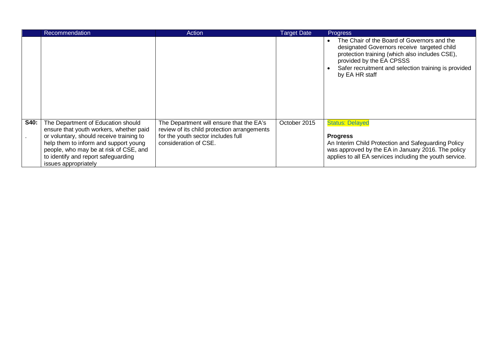|             | Recommendation                                                                                                                                                                                                                                                              | Action                                                                                                                                                 | <b>Target Date</b> | <b>Progress</b>                                                                                                                                                                                                                                                              |
|-------------|-----------------------------------------------------------------------------------------------------------------------------------------------------------------------------------------------------------------------------------------------------------------------------|--------------------------------------------------------------------------------------------------------------------------------------------------------|--------------------|------------------------------------------------------------------------------------------------------------------------------------------------------------------------------------------------------------------------------------------------------------------------------|
|             |                                                                                                                                                                                                                                                                             |                                                                                                                                                        |                    | The Chair of the Board of Governors and the<br>$\bullet$<br>designated Governors receive targeted child<br>protection training (which also includes CSE),<br>provided by the EA CPSSS<br>Safer recruitment and selection training is provided<br>$\bullet$<br>by EA HR staff |
| <b>S40:</b> | The Department of Education should<br>ensure that youth workers, whether paid<br>or voluntary, should receive training to<br>help them to inform and support young<br>people, who may be at risk of CSE, and<br>to identify and report safeguarding<br>issues appropriately | The Department will ensure that the EA's<br>review of its child protection arrangements<br>for the youth sector includes full<br>consideration of CSE. | October 2015       | <b>Status: Delayed</b><br><b>Progress</b><br>An Interim Child Protection and Safeguarding Policy<br>was approved by the EA in January 2016. The policy<br>applies to all EA services including the youth service.                                                            |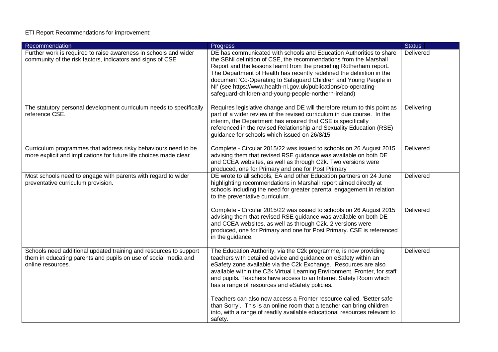## ETI Report Recommendations for improvement:

| Recommendation                                                                                                                                            | <b>Progress</b>                                                                                                                                                                                                                                                                                                                                                                                                                                                                          | <b>Status</b>    |
|-----------------------------------------------------------------------------------------------------------------------------------------------------------|------------------------------------------------------------------------------------------------------------------------------------------------------------------------------------------------------------------------------------------------------------------------------------------------------------------------------------------------------------------------------------------------------------------------------------------------------------------------------------------|------------------|
| Further work is required to raise awareness in schools and wider<br>community of the risk factors, indicators and signs of CSE                            | DE has communicated with schools and Education Authorities to share<br>the SBNI definition of CSE, the recommendations from the Marshall<br>Report and the lessons learnt from the preceding Rotherham report.<br>The Department of Health has recently redefined the definition in the<br>document 'Co-Operating to Safeguard Children and Young People in<br>NI' (see https://www.health-ni.gov.uk/publications/co-operating-<br>safeguard-children-and-young-people-northern-ireland) | Delivered        |
| The statutory personal development curriculum needs to specifically<br>reference CSE.                                                                     | Requires legislative change and DE will therefore return to this point as<br>part of a wider review of the revised curriculum in due course. In the<br>interim, the Department has ensured that CSE is specifically<br>referenced in the revised Relationship and Sexuality Education (RSE)<br>guidance for schools which issued on 26/8/15.                                                                                                                                             | Delivering       |
| Curriculum programmes that address risky behaviours need to be<br>more explicit and implications for future life choices made clear                       | Complete - Circular 2015/22 was issued to schools on 26 August 2015<br>advising them that revised RSE guidance was available on both DE<br>and CCEA websites, as well as through C2k. Two versions were<br>produced, one for Primary and one for Post Primary                                                                                                                                                                                                                            | <b>Delivered</b> |
| Most schools need to engage with parents with regard to wider<br>preventative curriculum provision.                                                       | DE wrote to all schools, EA and other Education partners on 24 June<br>highlighting recommendations in Marshall report aimed directly at<br>schools including the need for greater parental engagement in relation<br>to the preventative curriculum.                                                                                                                                                                                                                                    | Delivered        |
|                                                                                                                                                           | Complete - Circular 2015/22 was issued to schools on 26 August 2015<br>advising them that revised RSE guidance was available on both DE<br>and CCEA websites, as well as through C2k. 2 versions were<br>produced, one for Primary and one for Post Primary. CSE is referenced<br>in the guidance.                                                                                                                                                                                       | Delivered        |
| Schools need additional updated training and resources to support<br>them in educating parents and pupils on use of social media and<br>online resources. | The Education Authority, via the C2k programme, is now providing<br>teachers with detailed advice and guidance on eSafety within an<br>eSafety zone available via the C2k Exchange. Resources are also<br>available within the C2k Virtual Learning Environment, Fronter, for staff<br>and pupils. Teachers have access to an Internet Safety Room which<br>has a range of resources and eSafety policies.                                                                               | Delivered        |
|                                                                                                                                                           | Teachers can also now access a Fronter resource called, 'Better safe<br>than Sorry'. This is an online room that a teacher can bring children<br>into, with a range of readily available educational resources relevant to<br>safety.                                                                                                                                                                                                                                                    |                  |